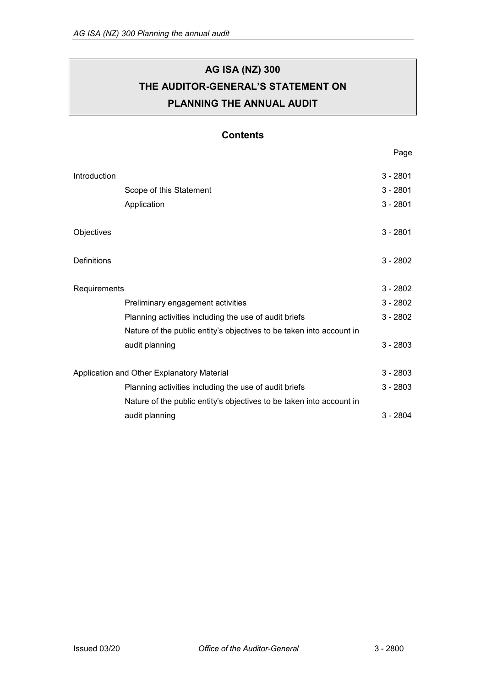# **AG ISA (NZ) 300 THE AUDITOR-GENERAL'S STATEMENT ON PLANNING THE ANNUAL AUDIT**

## **Contents**

Page

| Introduction                               |                                                                      |            |
|--------------------------------------------|----------------------------------------------------------------------|------------|
|                                            | Scope of this Statement                                              | $3 - 2801$ |
|                                            | Application                                                          | $3 - 2801$ |
| Objectives                                 |                                                                      | $3 - 2801$ |
| Definitions                                |                                                                      | $3 - 2802$ |
| Requirements                               |                                                                      | $3 - 2802$ |
|                                            | Preliminary engagement activities                                    | $3 - 2802$ |
|                                            | Planning activities including the use of audit briefs                | $3 - 2802$ |
|                                            | Nature of the public entity's objectives to be taken into account in |            |
|                                            | audit planning                                                       | $3 - 2803$ |
| Application and Other Explanatory Material |                                                                      | $3 - 2803$ |
|                                            | Planning activities including the use of audit briefs                | $3 - 2803$ |
|                                            | Nature of the public entity's objectives to be taken into account in |            |
|                                            | audit planning                                                       | $3 - 2804$ |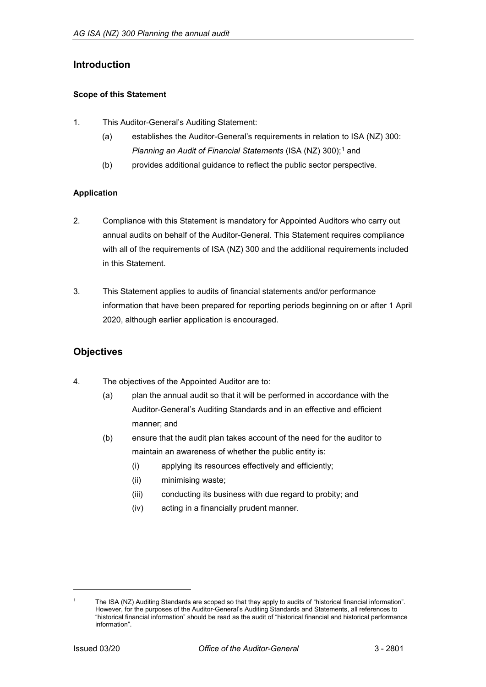## <span id="page-1-0"></span>**Introduction**

### <span id="page-1-1"></span>**Scope of this Statement**

- 1. This Auditor-General's Auditing Statement:
	- (a) establishes the Auditor-General's requirements in relation to ISA (NZ) 300: *Planning an Audit of Financial Statements* (ISA (NZ) 300);<sup>[1](#page-1-5)</sup> and
	- (b) provides additional guidance to reflect the public sector perspective.

## <span id="page-1-2"></span>**Application**

- 2. Compliance with this Statement is mandatory for Appointed Auditors who carry out annual audits on behalf of the Auditor-General. This Statement requires compliance with all of the requirements of ISA (NZ) 300 and the additional requirements included in this Statement.
- 3. This Statement applies to audits of financial statements and/or performance information that have been prepared for reporting periods beginning on or after 1 April 2020, although earlier application is encouraged.

# <span id="page-1-3"></span>**Objectives**

- 4. The objectives of the Appointed Auditor are to:
	- (a) plan the annual audit so that it will be performed in accordance with the Auditor-General's Auditing Standards and in an effective and efficient manner; and
	- (b) ensure that the audit plan takes account of the need for the auditor to maintain an awareness of whether the public entity is:
		- (i) applying its resources effectively and efficiently;
		- (ii) minimising waste;
		- (iii) conducting its business with due regard to probity; and
		- (iv) acting in a financially prudent manner.

<span id="page-1-4"></span>-

<span id="page-1-5"></span>The ISA (NZ) Auditing Standards are scoped so that they apply to audits of "historical financial information". However, for the purposes of the Auditor-General's Auditing Standards and Statements, all references to "historical financial information" should be read as the audit of "historical financial and historical performance information".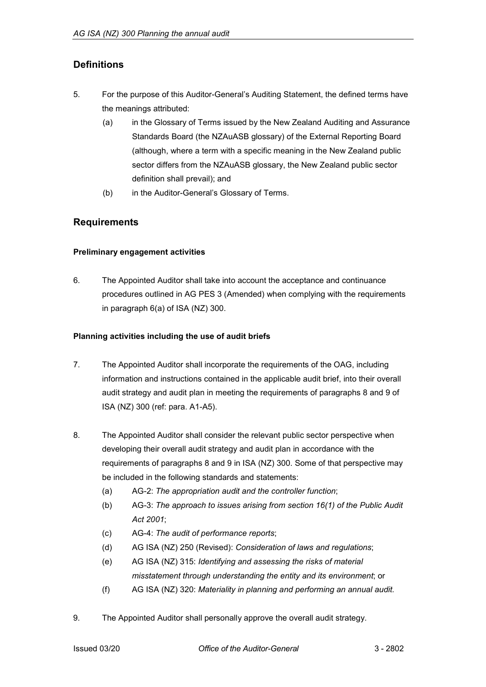# **Definitions**

- 5. For the purpose of this Auditor-General's Auditing Statement, the defined terms have the meanings attributed:
	- (a) in the Glossary of Terms issued by the New Zealand Auditing and Assurance Standards Board (the NZAuASB glossary) of the External Reporting Board (although, where a term with a specific meaning in the New Zealand public sector differs from the NZAuASB glossary, the New Zealand public sector definition shall prevail); and
	- (b) in the Auditor-General's Glossary of Terms.

## <span id="page-2-0"></span>**Requirements**

#### <span id="page-2-1"></span>**Preliminary engagement activities**

6. The Appointed Auditor shall take into account the acceptance and continuance procedures outlined in AG PES 3 (Amended) when complying with the requirements in paragraph 6(a) of ISA (NZ) 300.

#### <span id="page-2-2"></span>**Planning activities including the use of audit briefs**

- 7. The Appointed Auditor shall incorporate the requirements of the OAG, including information and instructions contained in the applicable audit brief, into their overall audit strategy and audit plan in meeting the requirements of paragraphs 8 and 9 of ISA (NZ) 300 (ref: para. A1-A5).
- 8. The Appointed Auditor shall consider the relevant public sector perspective when developing their overall audit strategy and audit plan in accordance with the requirements of paragraphs 8 and 9 in ISA (NZ) 300. Some of that perspective may be included in the following standards and statements:
	- (a) AG-2: *The appropriation audit and the controller function*;
	- (b) AG-3: *The approach to issues arising from section 16(1) of the Public Audit Act 2001*;
	- (c) AG-4: *The audit of performance reports*;
	- (d) AG ISA (NZ) 250 (Revised): *Consideration of laws and regulations*;
	- (e) AG ISA (NZ) 315: *Identifying and assessing the risks of material misstatement through understanding the entity and its environment*; or
	- (f) AG ISA (NZ) 320: *Materiality in planning and performing an annual audit.*
- 9. The Appointed Auditor shall personally approve the overall audit strategy.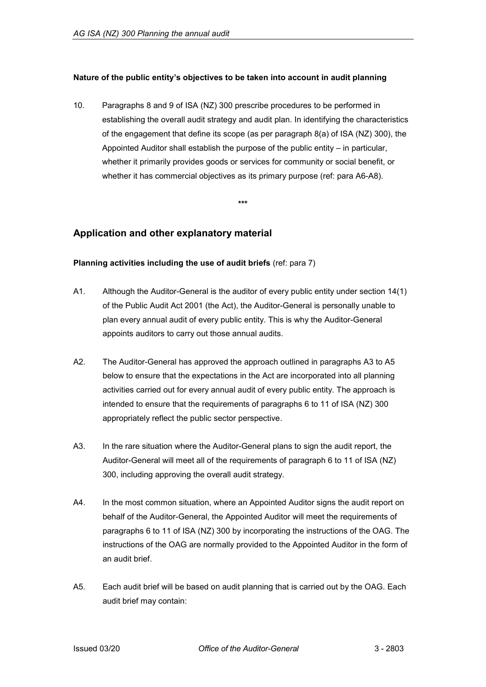### <span id="page-3-0"></span>**Nature of the public entity's objectives to be taken into account in audit planning**

10. Paragraphs 8 and 9 of ISA (NZ) 300 prescribe procedures to be performed in establishing the overall audit strategy and audit plan. In identifying the characteristics of the engagement that define its scope (as per paragraph 8(a) of ISA (NZ) 300), the Appointed Auditor shall establish the purpose of the public entity – in particular, whether it primarily provides goods or services for community or social benefit, or whether it has commercial objectives as its primary purpose (ref: para A6-A8).

**\*\*\***

## <span id="page-3-1"></span>**Application and other explanatory material**

#### <span id="page-3-2"></span>**Planning activities including the use of audit briefs** (ref: para 7)

- A1. Although the Auditor-General is the auditor of every public entity under section 14(1) of the Public Audit Act 2001 (the Act), the Auditor-General is personally unable to plan every annual audit of every public entity. This is why the Auditor-General appoints auditors to carry out those annual audits.
- A2. The Auditor-General has approved the approach outlined in paragraphs A3 to A5 below to ensure that the expectations in the Act are incorporated into all planning activities carried out for every annual audit of every public entity. The approach is intended to ensure that the requirements of paragraphs 6 to 11 of ISA (NZ) 300 appropriately reflect the public sector perspective.
- A3. In the rare situation where the Auditor-General plans to sign the audit report, the Auditor-General will meet all of the requirements of paragraph 6 to 11 of ISA (NZ) 300, including approving the overall audit strategy.
- A4. In the most common situation, where an Appointed Auditor signs the audit report on behalf of the Auditor-General, the Appointed Auditor will meet the requirements of paragraphs 6 to 11 of ISA (NZ) 300 by incorporating the instructions of the OAG. The instructions of the OAG are normally provided to the Appointed Auditor in the form of an audit brief.
- A5. Each audit brief will be based on audit planning that is carried out by the OAG. Each audit brief may contain: